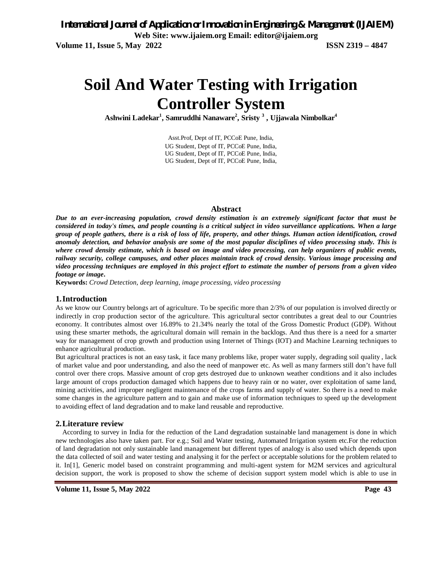# **Soil And Water Testing with Irrigation Controller System**

**Ashwini Ladekar<sup>1</sup> , Samruddhi Nanaware<sup>2</sup> , Sristy <sup>3</sup> , Ujjawala Nimbolkar<sup>4</sup>**

Asst.Prof, Dept of IT, PCCoE Pune, India, UG Student, Dept of IT, PCCoE Pune, India, UG Student, Dept of IT, PCCoE Pune, India, UG Student, Dept of IT, PCCoE Pune, India,

#### **Abstract**

*Due to an ever-increasing population, crowd density estimation is an extremely significant factor that must be considered in today's times, and people counting is a critical subject in video surveillance applications. When a large group of people gathers, there is a risk of loss of life, property, and other things. Human action identification, crowd anomaly detection, and behavior analysis are some of the most popular disciplines of video processing study. This is where crowd density estimate, which is based on image and video processing, can help organizers of public events, railway security, college campuses, and other places maintain track of crowd density. Various image processing and video processing techniques are employed in this project effort to estimate the number of persons from a given video footage or image***.**

**Keywords:** *Crowd Detection, deep learning, image processing, video processing*

#### **1.Introduction**

As we know our Country belongs art of agriculture. To be specific more than 2/3% of our population is involved directly or indirectly in crop production sector of the agriculture. This agricultural sector contributes a great deal to our Countries economy. It contributes almost over 16.89% to 21.34% nearly the total of the Gross Domestic Product (GDP). Without using these smarter methods, the agricultural domain will remain in the backlogs. And thus there is a need for a smarter way for management of crop growth and production using Internet of Things (IOT) and Machine Learning techniques to enhance agricultural production.

But agricultural practices is not an easy task, it face many problems like, proper water supply, degrading soil quality , lack of market value and poor understanding, and also the need of manpower etc. As well as many farmers still don't have full control over there crops. Massive amount of crop gets destroyed due to unknown weather conditions and it also includes large amount of crops production damaged which happens due to heavy rain or no water, over exploitation of same land, mining activities, and improper negligent maintenance of the crops farms and supply of water. So there is a need to make some changes in the agriculture pattern and to gain and make use of information techniques to speed up the development to avoiding effect of land degradation and to make land reusable and reproductive.

#### **2.Literature review**

According to survey in India for the reduction of the Land degradation sustainable land management is done in which new technologies also have taken part. For e.g.; Soil and Water testing, Automated Irrigation system etc.For the reduction of land degradation not only sustainable land management but different types of analogy is also used which depends upon the data collected of soil and water testing and analysing it for the perfect or acceptable solutions for the problem related to it. In[1], Generic model based on constraint programming and multi-agent system for M2M services and agricultural decision support, the work is proposed to show the scheme of decision support system model which is able to use in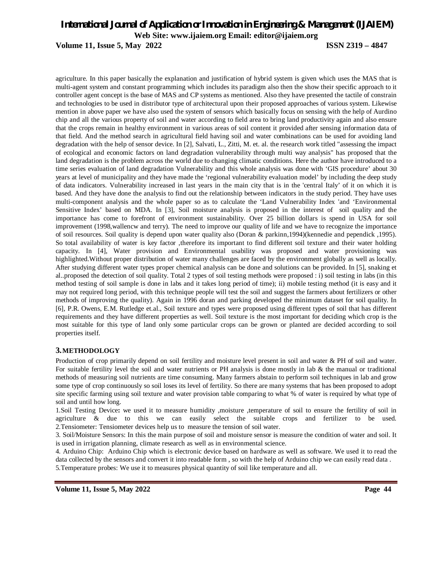**Volume 11, Issue 5, May 2022 ISSN 2319 – 4847**

agriculture. In this paper basically the explanation and justification of hybrid system is given which uses the MAS that is multi-agent system and constant programming which includes its paradigm also then the show their specific approach to it controller agent concept is the base of MAS and CP systems as mentioned. Also they have presented the tactile of constrain and technologies to be used in distributor type of architectural upon their proposed approaches of various system. Likewise mention in above paper we have also used the system of sensors which basically focus on sensing with the help of Aurdino chip and all the various property of soil and water according to field area to bring land productivity again and also ensure that the crops remain in healthy environment in various areas of soil content it provided after sensing information data of that field. And the method search in agricultural field having soil and water combinations can be used for avoiding land degradation with the help of sensor device. In [2], Salvati, L., Zitti, M. et. al. the research work titled "assessing the impact of ecological and economic factors on land degradation vulnerability through multi way analysis" has proposed that the land degradation is the problem across the world due to changing climatic conditions. Here the author have introduced to a time series evaluation of land degradation Vulnerability and this whole analysis was done with 'GIS procedure' about 30 years at level of municipality and they have made the 'regional vulnerability evaluation model' by including the deep study of data indicators. Vulnerability increased in last years in the main city that is in the 'central Italy' of it on which it is based. And they have done the analysis to find out the relationship between indicators in the study period. They have uses multi-component analysis and the whole paper so as to calculate the 'Land Vulnerability Index 'and 'Environmental Sensitive Index' based on MDA. In [3], Soil moisture analysis is proposed in the interest of soil quality and the importance has come to forefront of environment sustainability. Over 25 billion dollars is spend in USA for soil improvement (1998,wallencw and terry). The need to improve our quality of life and we have to recognize the importance of soil resources. Soil quality is depend upon water quality also (Doran & parkinn,1994)(kennedie and pependick ,1995). So total availability of water is key factor ,therefore its important to find different soil texture and their water holding capacity. In [4], Water provision and Environmental usability was proposed and water provisioning was highlighted.Without proper distribution of water many challenges are faced by the environment globally as well as locally. After studying different water types proper chemical analysis can be done and solutions can be provided. In [5], snaking et al..proposed the detection of soil quality. Total 2 types of soil testing methods were proposed : i) soil testing in labs (in this method testing of soil sample is done in labs and it takes long period of time); ii) mobile testing method (it is easy and it may not required long period, with this technique people will test the soil and suggest the farmers about fertilizers or other methods of improving the quality). Again in 1996 doran and parking developed the minimum dataset for soil quality. In [6], P.R. Owens, E.M. Rutledge et.al., Soil texture and types were proposed using different types of soil that has different requirements and they have different properties as well. Soil texture is the most important for deciding which crop is the most suitable for this type of land only some particular crops can be grown or planted are decided according to soil properties itself.

## **3.METHODOLOGY**

Production of crop primarily depend on soil fertility and moisture level present in soil and water & PH of soil and water. For suitable fertility level the soil and water nutrients or PH analysis is done mostly in lab & the manual or traditional methods of measuring soil nutrients are time consuming. Many farmers abstain to perform soil techniques in lab and grow some type of crop continuously so soil loses its level of fertility. So there are many systems that has been proposed to adopt site specific farming using soil texture and water provision table comparing to what % of water is required by what type of soil and until how long.

1.Soil Testing Device**:** we used it to measure humidity ,moisture ,temperature of soil to ensure the fertility of soil in agriculture & due to this we can easily select the suitable crops and fertilizer to be used. 2.Tensiometer: Tensiometer devices help us to measure the tension of soil water.

3. Soil/Moisture Sensors: In this the main purpose of soil and moisture sensor is measure the condition of water and soil. It is used in irrigation planning, climate research as well as in environmental science.

4. Arduino Chip: Arduino Chip which is electronic device based on hardware as well as software. We used it to read the data collected by the sensors and convert it into readable form , so with the help of Arduino chip we can easily read data . 5.Temperature probes: We use it to measures physical quantity of soil like temperature and all.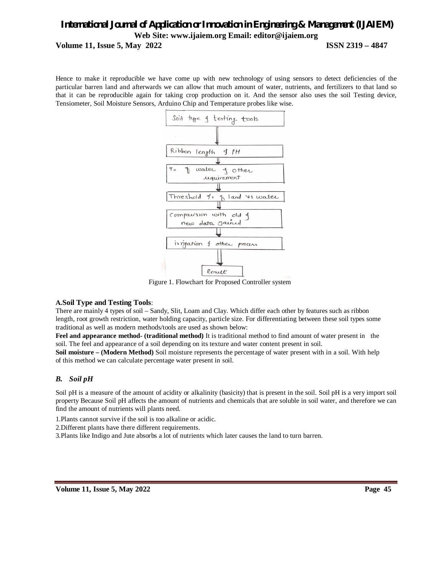## *International Journal of Application or Innovation in Engineering & Management (IJAIEM)* **Web Site: www.ijaiem.org Email: editor@ijaiem.org Volume 11, Issue 5, May 2022 ISSN 2319 – 4847**

Hence to make it reproducible we have come up with new technology of using sensors to detect deficiencies of the particular barren land and afterwards we can allow that much amount of water, nutrients, and fertilizers to that land so that it can be reproducible again for taking crop production on it. And the sensor also uses the soil Testing device, Tensiometer, Soil Moisture Sensors, Arduino Chip and Temperature probes like wise.



Figure 1. Flowchart for Proposed Controller system

## **A.Soil Type and Testing Tools**:

There are mainly 4 types of soil – Sandy, Slit, Loam and Clay. Which differ each other by features such as ribbon length, root growth restriction, water holding capacity, particle size. For differentiating between these soil types some traditional as well as modern methods/tools are used as shown below:

**Feel and appearance method- (traditional method)** It is traditional method to find amount of water present in the soil. The feel and appearance of a soil depending on its texture and water content present in soil.

**Soil moisture – (Modern Method)** Soil moisture represents the percentage of water present with in a soil. With help of this method we can calculate percentage water present in soil.

## *B. Soil pH*

Soil pH is a measure of the amount of acidity or alkalinity (basicity) that is present in the soil. Soil pH is a very import soil property Because Soil pH affects the amount of nutrients and chemicals that are soluble in soil water, and therefore we can find the amount of nutrients will plants need.

1.Plants cannot survive if the soil is too alkaline or acidic.

2.Different plants have there different requirements.

3.Plants like Indigo and Jute absorbs a lot of nutrients which later causes the land to turn barren.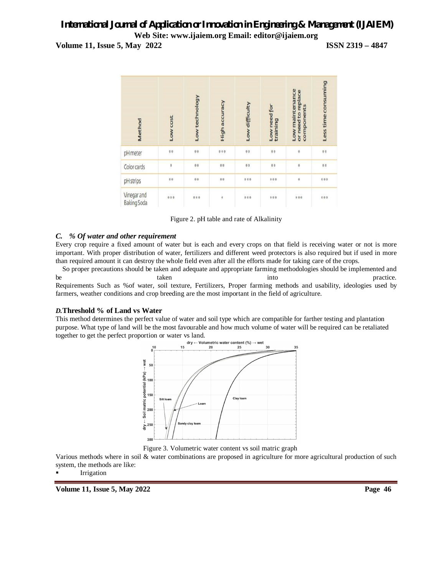**Volume 11, Issue 5, May 2022 ISSN 2319 – 4847**



Figure 2. pH table and rate of Alkalinity

## *C. % Of water and other requirement*

Every crop require a fixed amount of water but is each and every crops on that field is receiving water or not is more important. With proper distribution of water, fertilizers and different weed protectors is also required but if used in more than required amount it can destroy the whole field even after all the efforts made for taking care of the crops.

So proper precautions should be taken and adequate and appropriate farming methodologies should be implemented and be taken taken into the practice. Requirements Such as %of water, soil texture, Fertilizers, Proper farming methods and usability, ideologies used by farmers, weather conditions and crop breeding are the most important in the field of agriculture.

## *D.***Threshold % of Land vs Water**

This method determines the perfect value of water and soil type which are compatible for farther testing and plantation purpose. What type of land will be the most favourable and how much volume of water will be required can be retaliated together to get the perfect proportion or water vs land.<br> $\frac{dv}{dx}$   $\leftarrow$  Volumetric water content (%)



Figure 3. Volumetric water content vs soil matric graph

Various methods where in soil & water combinations are proposed in agriculture for more agricultural production of such system, the methods are like:

Irrigation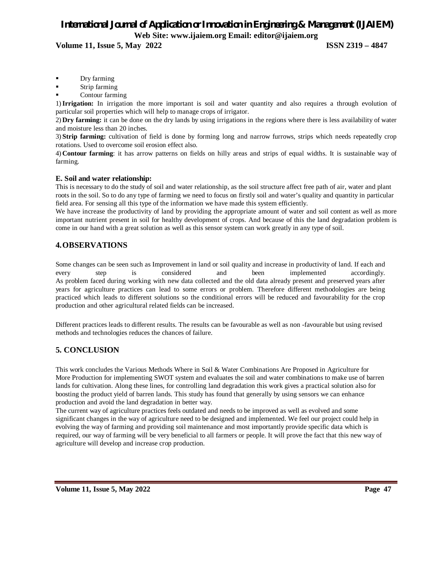**Volume 11, Issue 5, May 2022 ISSN 2319 – 4847**

- Dry farming
- Strip farming
- Contour farming

1)**Irrigation:** In irrigation the more important is soil and water quantity and also requires a through evolution of particular soil properties which will help to manage crops of irrigator.

2) **Dry farming:** it can be done on the dry lands by using irrigations in the regions where there is less availability of water and moisture less than 20 inches.

3) **Strip farming:** cultivation of field is done by forming long and narrow furrows, strips which needs repeatedly crop rotations. Used to overcome soil erosion effect also.

4) **Contour farming**: it has arrow patterns on fields on hilly areas and strips of equal widths. It is sustainable way of farming.

## **E. Soil and water relationship:**

This is necessary to do the study of soil and water relationship, as the soil structure affect free path of air, water and plant roots in the soil. So to do any type of farming we need to focus on firstly soil and water's quality and quantity in particular field area. For sensing all this type of the information we have made this system efficiently.

We have increase the productivity of land by providing the appropriate amount of water and soil content as well as more important nutrient present in soil for healthy development of crops. And because of this the land degradation problem is come in our hand with a great solution as well as this sensor system can work greatly in any type of soil.

## **4.OBSERVATIONS**

Some changes can be seen such as Improvement in land or soil quality and increase in productivity of land. If each and every step is considered and been implemented accordingly. As problem faced during working with new data collected and the old data already present and preserved years after years for agriculture practices can lead to some errors or problem. Therefore different methodologies are being practiced which leads to different solutions so the conditional errors will be reduced and favourability for the crop production and other agricultural related fields can be increased.

Different practices leads to different results. The results can be favourable as well as non -favourable but using revised methods and technologies reduces the chances of failure.

## **5. CONCLUSION**

This work concludes the Various Methods Where in Soil & Water Combinations Are Proposed in Agriculture for More Production for implementing SWOT system and evaluates the soil and water combinations to make use of barren lands for cultivation. Along these lines, for controlling land degradation this work gives a practical solution also for boosting the product yield of barren lands. This study has found that generally by using sensors we can enhance production and avoid the land degradation in better way.

The current way of agriculture practices feels outdated and needs to be improved as well as evolved and some significant changes in the way of agriculture need to be designed and implemented. We feel our project could help in evolving the way of farming and providing soil maintenance and most importantly provide specific data which is required, our way of farming will be very beneficial to all farmers or people. It will prove the fact that this new way of agriculture will develop and increase crop production.